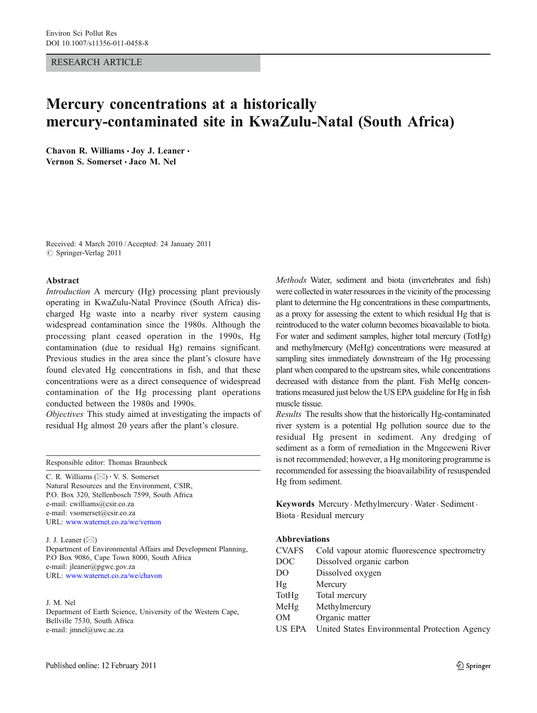## RESEARCH ARTICLE

# Mercury concentrations at a historically mercury-contaminated site in KwaZulu-Natal (South Africa)

Chavon R. Williams · Joy J. Leaner · Vernon S. Somerset · Jaco M. Nel

Received: 4 March 2010 /Accepted: 24 January 2011  $\circ$  Springer-Verlag 2011

# Abstract

Introduction A mercury (Hg) processing plant previously operating in KwaZulu-Natal Province (South Africa) discharged Hg waste into a nearby river system causing widespread contamination since the 1980s. Although the processing plant ceased operation in the 1990s, Hg contamination (due to residual Hg) remains significant. Previous studies in the area since the plant's closure have found elevated Hg concentrations in fish, and that these concentrations were as a direct consequence of widespread contamination of the Hg processing plant operations conducted between the 1980s and 1990s.

Objectives This study aimed at investigating the impacts of residual Hg almost 20 years after the plant's closure.

Responsible editor: Thomas Braunbeck

C. R. Williams  $(\boxtimes) \cdot V$ . S. Somerset Natural Resources and the Environment, CSIR, P.O. Box 320, Stellenbosch 7599, South Africa e-mail: cwilliams@csir.co.za e-mail: vsomerset@csir.co.za URL: [www.waternet.co.za/we/vernon](http://www.waternet.co.za/we/vernon)

J. J. Leaner  $(\boxtimes)$ 

Department of Environmental Affairs and Development Planning, P.O Box 9086, Cape Town 8000, South Africa e-mail: jleaner@pgwc.gov.za URL: <www.waternet.co.za/we/chavon>

#### J. M. Nel

Department of Earth Science, University of the Western Cape, Bellville 7530, South Africa e-mail: jmnel@uwc.ac.za

Methods Water, sediment and biota (invertebrates and fish) were collected in water resources in the vicinity of the processing plant to determine the Hg concentrations in these compartments, as a proxy for assessing the extent to which residual Hg that is reintroduced to the water column becomes bioavailable to biota. For water and sediment samples, higher total mercury (TotHg) and methylmercury (MeHg) concentrations were measured at sampling sites immediately downstream of the Hg processing plant when compared to the upstream sites, while concentrations decreased with distance from the plant. Fish MeHg concentrations measured just below the US EPA guideline for Hg in fish muscle tissue.

Results The results show that the historically Hg-contaminated river system is a potential Hg pollution source due to the residual Hg present in sediment. Any dredging of sediment as a form of remediation in the Mngceweni River is not recommended; however, a Hg monitoring programme is recommended for assessing the bioavailability of resuspended Hg from sediment.

Keywords Mercury. Methylmercury . Water. Sediment . Biota . Residual mercury

# Abbreviations

| <b>CVAFS</b>   | Cold vapour atomic fluorescence spectrometry  |  |  |
|----------------|-----------------------------------------------|--|--|
| DOC            | Dissolved organic carbon                      |  |  |
| D <sub>O</sub> | Dissolved oxygen                              |  |  |
| Hg             | Mercury                                       |  |  |
| TotHg          | Total mercury                                 |  |  |
| MeHg           | Methylmercury                                 |  |  |
| <b>OM</b>      | Organic matter                                |  |  |
| US EPA         | United States Environmental Protection Agency |  |  |
|                |                                               |  |  |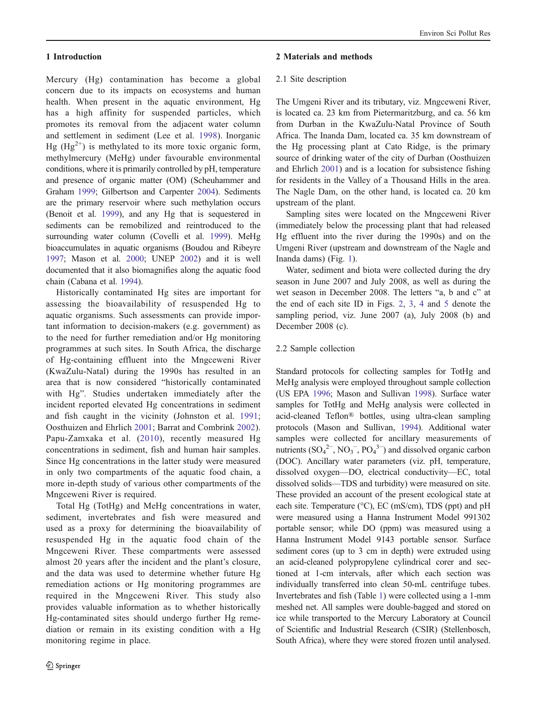## 1 Introduction

Mercury (Hg) contamination has become a global concern due to its impacts on ecosystems and human health. When present in the aquatic environment, Hg has a high affinity for suspended particles, which promotes its removal from the adjacent water column and settlement in sediment (Lee et al. [1998](#page-9-0)). Inorganic Hg (Hg<sup>2+</sup>) is methylated to its more toxic organic form, methylmercury (MeHg) under favourable environmental conditions, where it is primarily controlled by pH, temperature and presence of organic matter (OM) (Scheuhammer and Graham [1999;](#page-9-0) Gilbertson and Carpenter [2004\)](#page-9-0). Sediments are the primary reservoir where such methylation occurs (Benoit et al. [1999](#page-8-0)), and any Hg that is sequestered in sediments can be remobilized and reintroduced to the surrounding water column (Covelli et al. [1999](#page-9-0)). MeHg bioaccumulates in aquatic organisms (Boudou and Ribeyre [1997;](#page-8-0) Mason et al. [2000;](#page-9-0) UNEP [2002\)](#page-9-0) and it is well documented that it also biomagnifies along the aquatic food chain (Cabana et al. [1994](#page-8-0)).

Historically contaminated Hg sites are important for assessing the bioavailability of resuspended Hg to aquatic organisms. Such assessments can provide important information to decision-makers (e.g. government) as to the need for further remediation and/or Hg monitoring programmes at such sites. In South Africa, the discharge of Hg-containing effluent into the Mngceweni River (KwaZulu-Natal) during the 1990s has resulted in an area that is now considered "historically contaminated with Hg". Studies undertaken immediately after the incident reported elevated Hg concentrations in sediment and fish caught in the vicinity (Johnston et al. [1991](#page-9-0); Oosthuizen and Ehrlich [2001](#page-9-0); Barrat and Combrink [2002](#page-8-0)). Papu-Zamxaka et al. ([2010\)](#page-9-0), recently measured Hg concentrations in sediment, fish and human hair samples. Since Hg concentrations in the latter study were measured in only two compartments of the aquatic food chain, a more in-depth study of various other compartments of the Mngceweni River is required.

Total Hg (TotHg) and MeHg concentrations in water, sediment, invertebrates and fish were measured and used as a proxy for determining the bioavailability of resuspended Hg in the aquatic food chain of the Mngceweni River. These compartments were assessed almost 20 years after the incident and the plant's closure, and the data was used to determine whether future Hg remediation actions or Hg monitoring programmes are required in the Mngceweni River. This study also provides valuable information as to whether historically Hg-contaminated sites should undergo further Hg remediation or remain in its existing condition with a Hg monitoring regime in place.

## 2 Materials and methods

#### 2.1 Site description

The Umgeni River and its tributary, viz. Mngceweni River, is located ca. 23 km from Pietermaritzburg, and ca. 56 km from Durban in the KwaZulu-Natal Province of South Africa. The Inanda Dam, located ca. 35 km downstream of the Hg processing plant at Cato Ridge, is the primary source of drinking water of the city of Durban (Oosthuizen and Ehrlich [2001](#page-9-0)) and is a location for subsistence fishing for residents in the Valley of a Thousand Hills in the area. The Nagle Dam, on the other hand, is located ca. 20 km upstream of the plant.

Sampling sites were located on the Mngceweni River (immediately below the processing plant that had released Hg effluent into the river during the 1990s) and on the Umgeni River (upstream and downstream of the Nagle and Inanda dams) (Fig. [1\)](#page-2-0).

Water, sediment and biota were collected during the dry season in June 2007 and July 2008, as well as during the wet season in December 2008. The letters "a, b and c" at the end of each site ID in Figs. [2](#page-3-0), [3,](#page-3-0) [4](#page-4-0) and [5](#page-4-0) denote the sampling period, viz. June 2007 (a), July 2008 (b) and December 2008 (c).

## 2.2 Sample collection

Standard protocols for collecting samples for TotHg and MeHg analysis were employed throughout sample collection (US EPA [1996;](#page-9-0) Mason and Sullivan [1998](#page-9-0)). Surface water samples for TotHg and MeHg analysis were collected in acid-cleaned Teflon® bottles, using ultra-clean sampling protocols (Mason and Sullivan, [1994\)](#page-9-0). Additional water samples were collected for ancillary measurements of nutrients  $(SO_4^2, NO_3^-, PO_4^3)$  and dissolved organic carbon (DOC). Ancillary water parameters (viz. pH, temperature, dissolved oxygen—DO, electrical conductivity—EC, total dissolved solids—TDS and turbidity) were measured on site. These provided an account of the present ecological state at each site. Temperature (°C), EC (mS/cm), TDS (ppt) and pH were measured using a Hanna Instrument Model 991302 portable sensor; while DO (ppm) was measured using a Hanna Instrument Model 9143 portable sensor. Surface sediment cores (up to 3 cm in depth) were extruded using an acid-cleaned polypropylene cylindrical corer and sectioned at 1-cm intervals, after which each section was individually transferred into clean 50-mL centrifuge tubes. Invertebrates and fish (Table [1](#page-5-0)) were collected using a 1-mm meshed net. All samples were double-bagged and stored on ice while transported to the Mercury Laboratory at Council of Scientific and Industrial Research (CSIR) (Stellenbosch, South Africa), where they were stored frozen until analysed.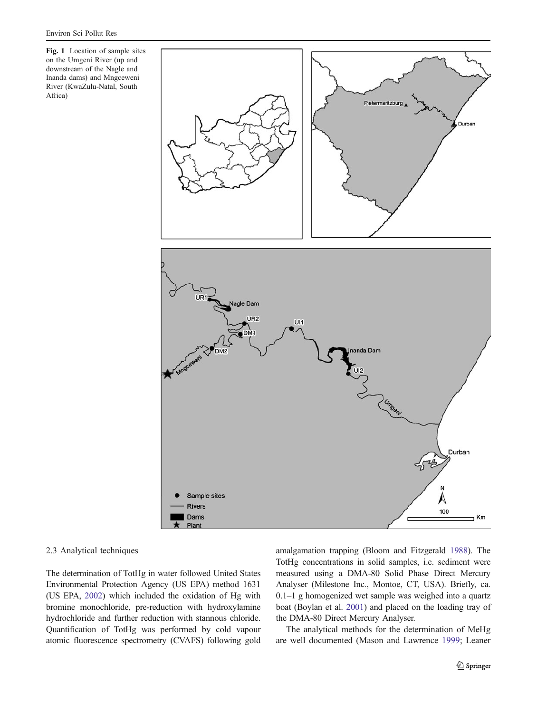<span id="page-2-0"></span>Fig. 1 Location of sample sites on the Umgeni River (up and downstream of the Nagle and Inanda dams) and Mngceweni River (KwaZulu-Natal, South Africa)



## 2.3 Analytical techniques

The determination of TotHg in water followed United States Environmental Protection Agency (US EPA) method 1631 (US EPA, [2002](#page-10-0)) which included the oxidation of Hg with bromine monochloride, pre-reduction with hydroxylamine hydrochloride and further reduction with stannous chloride. Quantification of TotHg was performed by cold vapour atomic fluorescence spectrometry (CVAFS) following gold amalgamation trapping (Bloom and Fitzgerald [1988\)](#page-8-0). The TotHg concentrations in solid samples, i.e. sediment were measured using a DMA-80 Solid Phase Direct Mercury Analyser (Milestone Inc., Montoe, CT, USA). Briefly, ca. 0.1–1 g homogenized wet sample was weighed into a quartz boat (Boylan et al. [2001\)](#page-8-0) and placed on the loading tray of the DMA-80 Direct Mercury Analyser.

The analytical methods for the determination of MeHg are well documented (Mason and Lawrence [1999](#page-9-0); Leaner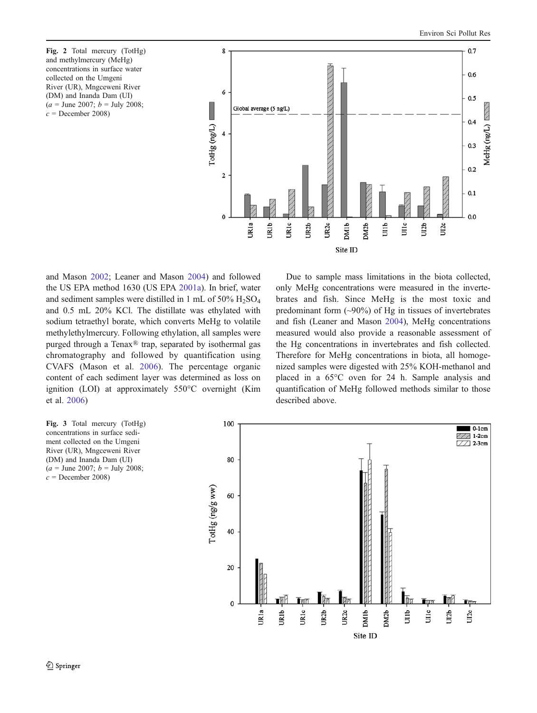<span id="page-3-0"></span>Fig. 2 Total mercury (TotHg) and methylmercury (MeHg) concentrations in surface water collected on the Umgeni River (UR), Mngceweni River (DM) and Inanda Dam (UI)  $(a =$  June 2007;  $b =$  July 2008;  $c =$ December 2008)



and Mason [2002;](#page-9-0) Leaner and Mason [2004](#page-9-0)) and followed the US EPA method 1630 (US EPA [2001a](#page-10-0)). In brief, water and sediment samples were distilled in 1 mL of  $50\%$   $H_2SO_4$ and 0.5 mL 20% KCl. The distillate was ethylated with sodium tetraethyl borate, which converts MeHg to volatile methylethylmercury. Following ethylation, all samples were purged through a Tenax® trap, separated by isothermal gas chromatography and followed by quantification using CVAFS (Mason et al. [2006](#page-9-0)). The percentage organic content of each sediment layer was determined as loss on ignition (LOI) at approximately 550°C overnight (Kim et al. [2006](#page-9-0))

only MeHg concentrations were measured in the invertebrates and fish. Since MeHg is the most toxic and predominant form  $(\sim 90\%)$  of Hg in tissues of invertebrates and fish (Leaner and Mason [2004](#page-9-0)), MeHg concentrations measured would also provide a reasonable assessment of the Hg concentrations in invertebrates and fish collected. Therefore for MeHg concentrations in biota, all homogenized samples were digested with 25% KOH-methanol and placed in a 65°C oven for 24 h. Sample analysis and quantification of MeHg followed methods similar to those described above.

Due to sample mass limitations in the biota collected,



Fig. 3 Total mercury (TotHg) concentrations in surface sediment collected on the Umgeni River (UR), Mngceweni River (DM) and Inanda Dam (UI)  $(a =$  June 2007;  $b =$  July 2008;  $c =$ December 2008)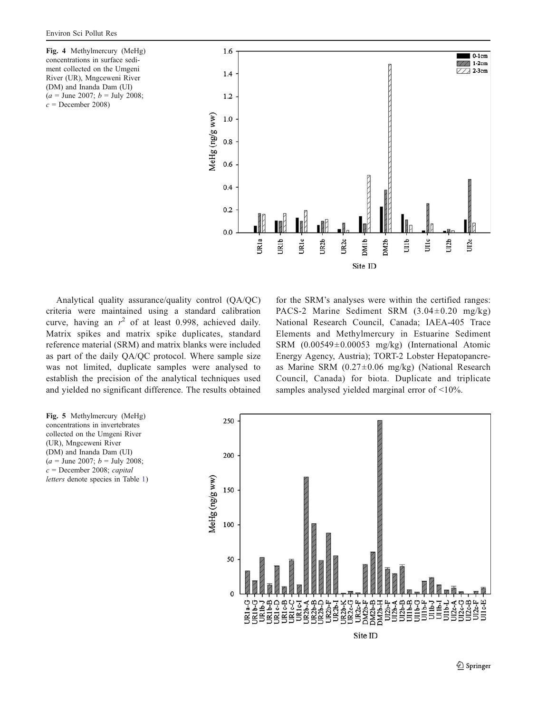<span id="page-4-0"></span>Fig. 4 Methylmercury (MeHg) concentrations in surface sediment collected on the Umgeni River (UR), Mngceweni River (DM) and Inanda Dam (UI)  $(a =$  June 2007;  $b =$  July 2008;  $c =$ December 2008)



Analytical quality assurance/quality control (QA/QC) criteria were maintained using a standard calibration curve, having an  $r^2$  of at least 0.998, achieved daily. Matrix spikes and matrix spike duplicates, standard reference material (SRM) and matrix blanks were included as part of the daily QA/QC protocol. Where sample size was not limited, duplicate samples were analysed to establish the precision of the analytical techniques used and yielded no significant difference. The results obtained for the SRM's analyses were within the certified ranges: PACS-2 Marine Sediment SRM  $(3.04 \pm 0.20 \text{ mg/kg})$ National Research Council, Canada; IAEA-405 Trace Elements and Methylmercury in Estuarine Sediment SRM (0.00549±0.00053 mg/kg) (International Atomic Energy Agency, Austria); TORT-2 Lobster Hepatopancreas Marine SRM (0.27±0.06 mg/kg) (National Research Council, Canada) for biota. Duplicate and triplicate samples analysed yielded marginal error of <10%.

Fig. 5 Methylmercury (MeHg) concentrations in invertebrates collected on the Umgeni River (UR), Mngceweni River (DM) and Inanda Dam (UI)  $(a =$  June 2007;  $b =$  July 2008;  $c =$  December 2008; capital letters denote species in Table [1\)](#page-5-0)

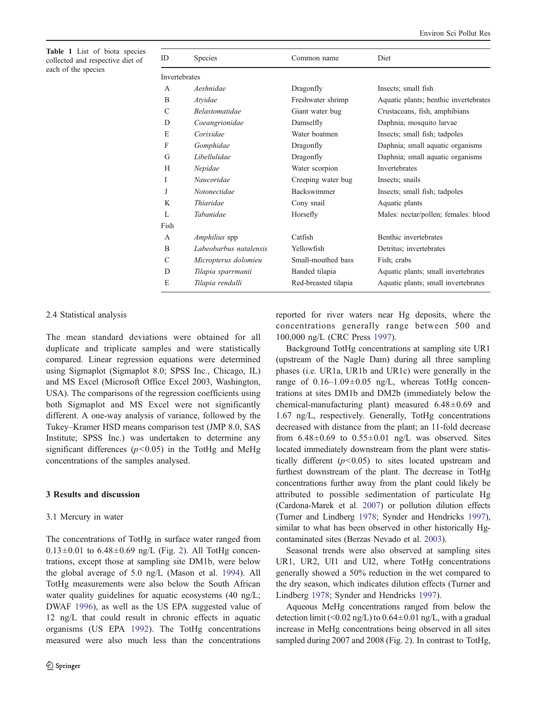<span id="page-5-0"></span>Table 1 List of biota species collected and respective diet of each of the species

| ID                   | Species                | Common name          | Diet                                  |
|----------------------|------------------------|----------------------|---------------------------------------|
| <b>Invertebrates</b> |                        |                      |                                       |
| A                    | Aeshnidae              | Dragonfly            | Insects; small fish                   |
| B                    | Atvidae                | Freshwater shrimp    | Aquatic plants; benthic invertebrates |
| C                    | <b>Belastomatidae</b>  | Giant water bug      | Crustaceans, fish, amphibians         |
| D                    | Coeangrionidae         | Damselfly            | Daphnia; mosquito larvae              |
| Е                    | Corixidae              | Water boatmen        | Insects; small fish; tadpoles         |
| F                    | Gomphidae              | Dragonfly            | Daphnia; small aquatic organisms      |
| G                    | Libellulidae           | Dragonfly            | Daphnia; small aquatic organisms      |
| H                    | Nepidae                | Water scorpion       | <b>Invertebrates</b>                  |
| I                    | Naucoridae             | Creeping water bug   | Insects; snails                       |
| J                    | Notonectidae           | Backswimmer          | Insects; small fish; tadpoles         |
| K                    | <i>Thiaridae</i>       | Cony snail           | Aquatic plants                        |
| L                    | Tabanidae              | Horsefly             | Males: nectar/pollen; females: blood  |
| Fish                 |                        |                      |                                       |
| A                    | <i>Amphilius</i> spp   | Catfish              | Benthic invertebrates                 |
| B                    | Labeobarbus natalensis | Yellowfish           | Detritus; invertebrates               |
| C                    | Micropterus dolomieu   | Small-mouthed bass   | Fish; crabs                           |
| D                    | Tilapia sparrmanii     | Banded tilapia       | Aquatic plants; small invertebrates   |
| E                    | Tilapia rendalli       | Red-breasted tilapia | Aquatic plants; small invertebrates   |

#### 2.4 Statistical analysis

The mean standard deviations were obtained for all duplicate and triplicate samples and were statistically compared. Linear regression equations were determined using Sigmaplot (Sigmaplot 8.0; SPSS Inc., Chicago, IL) and MS Excel (Microsoft Office Excel 2003, Washington, USA). The comparisons of the regression coefficients using both Sigmaplot and MS Excel were not significantly different. A one-way analysis of variance, followed by the Tukey–Kramer HSD means comparison test (JMP 8.0, SAS Institute; SPSS Inc.) was undertaken to determine any significant differences  $(p<0.05)$  in the TotHg and MeHg concentrations of the samples analysed.

# 3 Results and discussion

#### 3.1 Mercury in water

The concentrations of TotHg in surface water ranged from  $0.13 \pm 0.01$  to  $6.48 \pm 0.69$  ng/L (Fig. [2](#page-3-0)). All TotHg concentrations, except those at sampling site DM1b, were below the global average of 5.0 ng/L (Mason et al. [1994](#page-9-0)). All TotHg measurements were also below the South African water quality guidelines for aquatic ecosystems (40 ng/L; DWAF [1996](#page-9-0)), as well as the US EPA suggested value of 12 ng/L that could result in chronic effects in aquatic organisms (US EPA [1992](#page-9-0)). The TotHg concentrations measured were also much less than the concentrations reported for river waters near Hg deposits, where the concentrations generally range between 500 and 100,000 ng/L (CRC Press [1997](#page-9-0)).

Background TotHg concentrations at sampling site UR1 (upstream of the Nagle Dam) during all three sampling phases (i.e. UR1a, UR1b and UR1c) were generally in the range of  $0.16-1.09\pm0.05$  ng/L, whereas TotHg concentrations at sites DM1b and DM2b (immediately below the chemical-manufacturing plant) measured 6.48±0.69 and 1.67 ng/L, respectively. Generally, TotHg concentrations decreased with distance from the plant; an 11-fold decrease from  $6.48\pm0.69$  to  $0.55\pm0.01$  ng/L was observed. Sites located immediately downstream from the plant were statistically different  $(p<0.05)$  to sites located upstream and furthest downstream of the plant. The decrease in TotHg concentrations further away from the plant could likely be attributed to possible sedimentation of particulate Hg (Cardona-Marek et al. [2007\)](#page-9-0) or pollution dilution effects (Turner and Lindberg [1978](#page-9-0); Synder and Hendricks [1997\)](#page-9-0), similar to what has been observed in other historically Hgcontaminated sites (Berzas Nevado et al. [2003](#page-8-0)).

Seasonal trends were also observed at sampling sites UR1, UR2, UI1 and UI2, where TotHg concentrations generally showed a 50% reduction in the wet compared to the dry season, which indicates dilution effects (Turner and Lindberg [1978;](#page-9-0) Synder and Hendricks [1997](#page-9-0)).

Aqueous MeHg concentrations ranged from below the detection limit (<0.02 ng/L) to  $0.64 \pm 0.01$  ng/L, with a gradual increase in MeHg concentrations being observed in all sites sampled during 2007 and 2008 (Fig. [2\)](#page-3-0). In contrast to TotHg,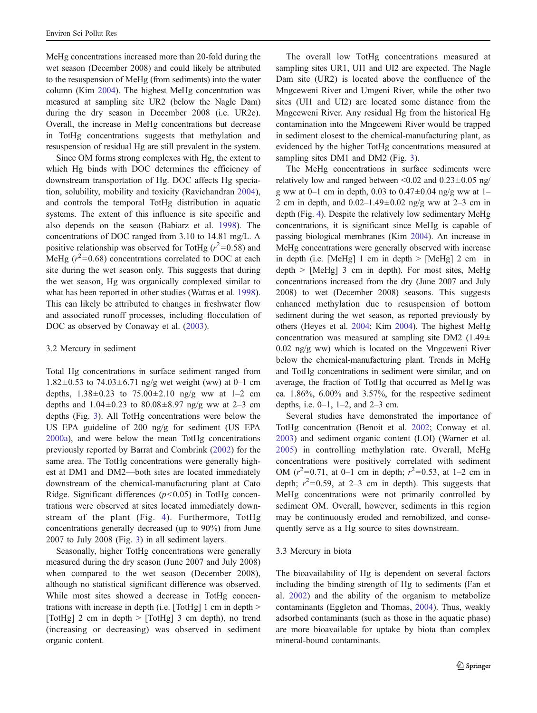MeHg concentrations increased more than 20-fold during the wet season (December 2008) and could likely be attributed to the resuspension of MeHg (from sediments) into the water column (Kim [2004](#page-9-0)). The highest MeHg concentration was measured at sampling site UR2 (below the Nagle Dam) during the dry season in December 2008 (i.e. UR2c). Overall, the increase in MeHg concentrations but decrease in TotHg concentrations suggests that methylation and resuspension of residual Hg are still prevalent in the system.

Since OM forms strong complexes with Hg, the extent to which Hg binds with DOC determines the efficiency of downstream transportation of Hg. DOC affects Hg speciation, solubility, mobility and toxicity (Ravichandran [2004](#page-9-0)), and controls the temporal TotHg distribution in aquatic systems. The extent of this influence is site specific and also depends on the season (Babiarz et al. [1998](#page-8-0)). The concentrations of DOC ranged from 3.10 to 14.81 mg/L. A positive relationship was observed for TotHg ( $r^2$ =0.58) and MeHg ( $r^2$ =0.68) concentrations correlated to DOC at each site during the wet season only. This suggests that during the wet season, Hg was organically complexed similar to what has been reported in other studies (Watras et al. [1998](#page-10-0)). This can likely be attributed to changes in freshwater flow and associated runoff processes, including flocculation of DOC as observed by Conaway et al. [\(2003](#page-9-0)).

#### 3.2 Mercury in sediment

Total Hg concentrations in surface sediment ranged from 1.82 $\pm$ 0.53 to 74.03 $\pm$ 6.71 ng/g wet weight (ww) at 0–1 cm depths,  $1.38 \pm 0.23$  to  $75.00 \pm 2.10$  ng/g ww at 1–2 cm depths and  $1.04 \pm 0.23$  to  $80.08 \pm 8.97$  ng/g ww at 2–3 cm depths (Fig. [3\)](#page-3-0). All TotHg concentrations were below the US EPA guideline of 200 ng/g for sediment (US EPA [2000a](#page-9-0)), and were below the mean TotHg concentrations previously reported by Barrat and Combrink [\(2002](#page-8-0)) for the same area. The TotHg concentrations were generally highest at DM1 and DM2—both sites are located immediately downstream of the chemical-manufacturing plant at Cato Ridge. Significant differences  $(p<0.05)$  in TotHg concentrations were observed at sites located immediately downstream of the plant (Fig. [4\)](#page-4-0). Furthermore, TotHg concentrations generally decreased (up to 90%) from June 2007 to July 2008 (Fig. [3\)](#page-3-0) in all sediment layers.

Seasonally, higher TotHg concentrations were generally measured during the dry season (June 2007 and July 2008) when compared to the wet season (December 2008), although no statistical significant difference was observed. While most sites showed a decrease in TotHg concentrations with increase in depth (i.e. [TotHg] 1 cm in depth > [TotHg] 2 cm in depth > [TotHg] 3 cm depth), no trend (increasing or decreasing) was observed in sediment organic content.

The overall low TotHg concentrations measured at sampling sites UR1, UI1 and UI2 are expected. The Nagle Dam site (UR2) is located above the confluence of the Mngceweni River and Umgeni River, while the other two sites (UI1 and UI2) are located some distance from the Mngceweni River. Any residual Hg from the historical Hg contamination into the Mngceweni River would be trapped in sediment closest to the chemical-manufacturing plant, as evidenced by the higher TotHg concentrations measured at sampling sites DM1 and DM2 (Fig. [3\)](#page-3-0).

The MeHg concentrations in surface sediments were relatively low and ranged between  $\leq 0.02$  and  $0.23 \pm 0.05$  ng/ g ww at 0–1 cm in depth, 0.03 to 0.47 $\pm$ 0.04 ng/g ww at 1– 2 cm in depth, and  $0.02-1.49\pm0.02$  ng/g ww at  $2-3$  cm in depth (Fig. [4](#page-4-0)). Despite the relatively low sedimentary MeHg concentrations, it is significant since MeHg is capable of passing biological membranes (Kim [2004](#page-9-0)). An increase in MeHg concentrations were generally observed with increase in depth (i.e. [MeHg] 1 cm in depth  $>$  [MeHg] 2 cm in  $depth$  > [MeHg] 3 cm in depth). For most sites, MeHg concentrations increased from the dry (June 2007 and July 2008) to wet (December 2008) seasons. This suggests enhanced methylation due to resuspension of bottom sediment during the wet season, as reported previously by others (Heyes et al. [2004;](#page-9-0) Kim [2004\)](#page-9-0). The highest MeHg concentration was measured at sampling site DM2 (1.49 $\pm$ 0.02 ng/g ww) which is located on the Mngceweni River below the chemical-manufacturing plant. Trends in MeHg and TotHg concentrations in sediment were similar, and on average, the fraction of TotHg that occurred as MeHg was ca. 1.86%, 6.00% and 3.57%, for the respective sediment depths, i.e. 0–1, 1–2, and 2–3 cm.

Several studies have demonstrated the importance of TotHg concentration (Benoit et al. [2002;](#page-8-0) Conway et al. [2003](#page-9-0)) and sediment organic content (LOI) (Warner et al. [2005](#page-10-0)) in controlling methylation rate. Overall, MeHg concentrations were positively correlated with sediment OM  $(r^2=0.71, \text{ at } 0-1 \text{ cm in depth}; r^2=0.53, \text{ at } 1-2 \text{ cm in }$ depth;  $r^2=0.59$ , at 2-3 cm in depth). This suggests that MeHg concentrations were not primarily controlled by sediment OM. Overall, however, sediments in this region may be continuously eroded and remobilized, and consequently serve as a Hg source to sites downstream.

#### 3.3 Mercury in biota

The bioavailability of Hg is dependent on several factors including the binding strength of Hg to sediments (Fan et al. [2002\)](#page-9-0) and the ability of the organism to metabolize contaminants (Eggleton and Thomas, [2004\)](#page-9-0). Thus, weakly adsorbed contaminants (such as those in the aquatic phase) are more bioavailable for uptake by biota than complex mineral-bound contaminants.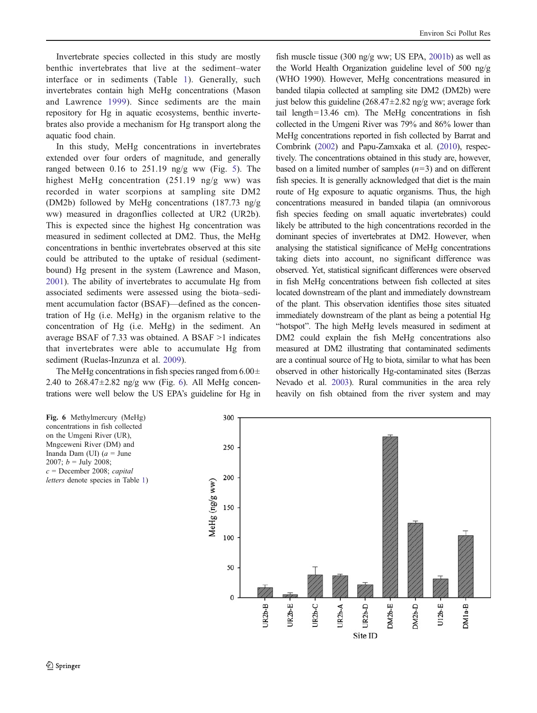Invertebrate species collected in this study are mostly benthic invertebrates that live at the sediment–water interface or in sediments (Table [1\)](#page-5-0). Generally, such invertebrates contain high MeHg concentrations (Mason and Lawrence [1999](#page-9-0)). Since sediments are the main repository for Hg in aquatic ecosystems, benthic invertebrates also provide a mechanism for Hg transport along the aquatic food chain.

In this study, MeHg concentrations in invertebrates extended over four orders of magnitude, and generally ranged between  $0.16$  to  $251.19$  ng/g ww (Fig. [5\)](#page-4-0). The highest MeHg concentration (251.19 ng/g ww) was recorded in water scorpions at sampling site DM2 (DM2b) followed by MeHg concentrations (187.73 ng/g ww) measured in dragonflies collected at UR2 (UR2b). This is expected since the highest Hg concentration was measured in sediment collected at DM2. Thus, the MeHg concentrations in benthic invertebrates observed at this site could be attributed to the uptake of residual (sedimentbound) Hg present in the system (Lawrence and Mason, [2001\)](#page-9-0). The ability of invertebrates to accumulate Hg from associated sediments were assessed using the biota–sediment accumulation factor (BSAF)—defined as the concentration of Hg (i.e. MeHg) in the organism relative to the concentration of Hg (i.e. MeHg) in the sediment. An average BSAF of 7.33 was obtained. A BSAF >1 indicates that invertebrates were able to accumulate Hg from sediment (Ruelas-Inzunza et al. [2009](#page-9-0)).

The MeHg concentrations in fish species ranged from  $6.00\pm$ 2.40 to  $268.47 \pm 2.82$  ng/g ww (Fig. 6). All MeHg concentrations were well below the US EPA's guideline for Hg in

fish muscle tissue (300 ng/g ww; US EPA, [2001b\)](#page-10-0) as well as the World Health Organization guideline level of 500 ng/g (WHO 1990). However, MeHg concentrations measured in banded tilapia collected at sampling site DM2 (DM2b) were just below this guideline  $(268.47 \pm 2.82 \text{ ng/g} \text{ ww})$ ; average fork tail length=13.46 cm). The MeHg concentrations in fish collected in the Umgeni River was 79% and 86% lower than MeHg concentrations reported in fish collected by Barrat and Combrink ([2002\)](#page-8-0) and Papu-Zamxaka et al. [\(2010](#page-9-0)), respectively. The concentrations obtained in this study are, however, based on a limited number of samples  $(n=3)$  and on different fish species. It is generally acknowledged that diet is the main route of Hg exposure to aquatic organisms. Thus, the high concentrations measured in banded tilapia (an omnivorous fish species feeding on small aquatic invertebrates) could likely be attributed to the high concentrations recorded in the dominant species of invertebrates at DM2. However, when analysing the statistical significance of MeHg concentrations taking diets into account, no significant difference was observed. Yet, statistical significant differences were observed in fish MeHg concentrations between fish collected at sites located downstream of the plant and immediately downstream of the plant. This observation identifies those sites situated immediately downstream of the plant as being a potential Hg "hotspot". The high MeHg levels measured in sediment at DM2 could explain the fish MeHg concentrations also measured at DM2 illustrating that contaminated sediments are a continual source of Hg to biota, similar to what has been observed in other historically Hg-contaminated sites (Berzas Nevado et al. [2003](#page-8-0)). Rural communities in the area rely heavily on fish obtained from the river system and may



concentrations in fish collected on the Umgeni River (UR), Mngceweni River (DM) and Inanda Dam (UI)  $(a = June$ 2007;  $b =$  July 2008;  $c =$ December 2008; capital letters denote species in Table [1\)](#page-5-0)

Fig. 6 Methylmercury (MeHg)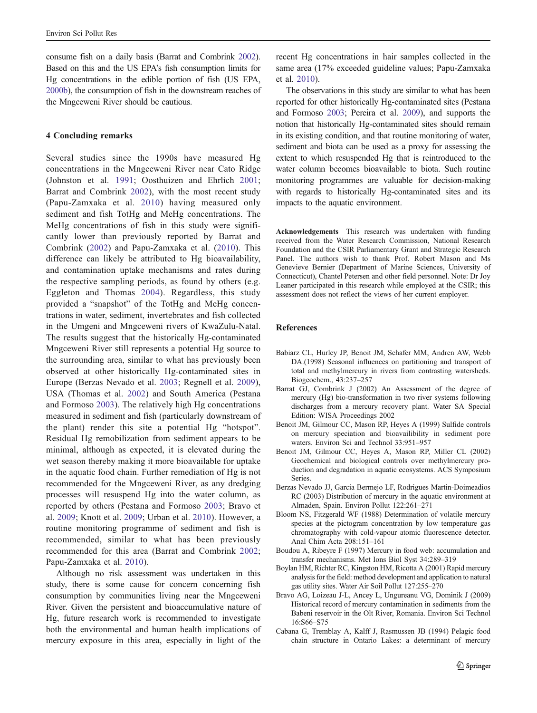<span id="page-8-0"></span>consume fish on a daily basis (Barrat and Combrink 2002). Based on this and the US EPA's fish consumption limits for Hg concentrations in the edible portion of fish (US EPA, [2000b](#page-10-0)), the consumption of fish in the downstream reaches of the Mngceweni River should be cautious.

# 4 Concluding remarks

Several studies since the 1990s have measured Hg concentrations in the Mngceweni River near Cato Ridge (Johnston et al. [1991](#page-9-0); Oosthuizen and Ehrlich [2001](#page-9-0); Barrat and Combrink 2002), with the most recent study (Papu-Zamxaka et al. [2010\)](#page-9-0) having measured only sediment and fish TotHg and MeHg concentrations. The MeHg concentrations of fish in this study were significantly lower than previously reported by Barrat and Combrink (2002) and Papu-Zamxaka et al. ([2010](#page-9-0)). This difference can likely be attributed to Hg bioavailability, and contamination uptake mechanisms and rates during the respective sampling periods, as found by others (e.g. Eggleton and Thomas [2004](#page-9-0)). Regardless, this study provided a "snapshot" of the TotHg and MeHg concentrations in water, sediment, invertebrates and fish collected in the Umgeni and Mngceweni rivers of KwaZulu-Natal. The results suggest that the historically Hg-contaminated Mngceweni River still represents a potential Hg source to the surrounding area, similar to what has previously been observed at other historically Hg-contaminated sites in Europe (Berzas Nevado et al. 2003; Regnell et al. [2009](#page-9-0)), USA (Thomas et al. [2002\)](#page-9-0) and South America (Pestana and Formoso [2003](#page-9-0)). The relatively high Hg concentrations measured in sediment and fish (particularly downstream of the plant) render this site a potential Hg "hotspot". Residual Hg remobilization from sediment appears to be minimal, although as expected, it is elevated during the wet season thereby making it more bioavailable for uptake in the aquatic food chain. Further remediation of Hg is not recommended for the Mngceweni River, as any dredging processes will resuspend Hg into the water column, as reported by others (Pestana and Formoso [2003;](#page-9-0) Bravo et al. 2009; Knott et al. [2009;](#page-9-0) Urban et al. [2010](#page-9-0)). However, a routine monitoring programme of sediment and fish is recommended, similar to what has been previously recommended for this area (Barrat and Combrink 2002; Papu-Zamxaka et al. [2010](#page-9-0)).

Although no risk assessment was undertaken in this study, there is some cause for concern concerning fish consumption by communities living near the Mngceweni River. Given the persistent and bioaccumulative nature of Hg, future research work is recommended to investigate both the environmental and human health implications of mercury exposure in this area, especially in light of the

recent Hg concentrations in hair samples collected in the same area (17% exceeded guideline values; Papu-Zamxaka et al. [2010](#page-9-0)).

The observations in this study are similar to what has been reported for other historically Hg-contaminated sites (Pestana and Formoso [2003](#page-9-0); Pereira et al. [2009](#page-9-0)), and supports the notion that historically Hg-contaminated sites should remain in its existing condition, and that routine monitoring of water, sediment and biota can be used as a proxy for assessing the extent to which resuspended Hg that is reintroduced to the water column becomes bioavailable to biota. Such routine monitoring programmes are valuable for decision-making with regards to historically Hg-contaminated sites and its impacts to the aquatic environment.

Acknowledgements This research was undertaken with funding received from the Water Research Commission, National Research Foundation and the CSIR Parliamentary Grant and Strategic Research Panel. The authors wish to thank Prof. Robert Mason and Ms Genevieve Bernier (Department of Marine Sciences, University of Connecticut), Chantel Petersen and other field personnel. Note: Dr Joy Leaner participated in this research while employed at the CSIR; this assessment does not reflect the views of her current employer.

#### References

- Babiarz CL, Hurley JP, Benoit JM, Schafer MM, Andren AW, Webb DA.(1998) Seasonal influences on partitioning and transport of total and methylmercury in rivers from contrasting watersheds. Biogeochem., 43:237–257
- Barrat GJ, Combrink J (2002) An Assessment of the degree of mercury (Hg) bio-transformation in two river systems following discharges from a mercury recovery plant. Water SA Special Edition: WISA Proceedings 2002
- Benoit JM, Gilmour CC, Mason RP, Heyes A (1999) Sulfide controls on mercury speciation and bioavailibility in sediment pore waters. Environ Sci and Technol 33:951–957
- Benoit JM, Gilmour CC, Heyes A, Mason RP, Miller CL (2002) Geochemical and biological controls over methylmercury production and degradation in aquatic ecosystems. ACS Symposium Series.
- Berzas Nevado JJ, Garcia Bermejo LF, Rodrigues Martin-Doimeadios RC (2003) Distribution of mercury in the aquatic environment at Almaden, Spain. Environ Pollut 122:261–271
- Bloom NS, Fitzgerald WF (1988) Determination of volatile mercury species at the pictogram concentration by low temperature gas chromatography with cold-vapour atomic fluorescence detector. Anal Chim Acta 208:151–161
- Boudou A, Ribeyre F (1997) Mercury in food web: accumulation and transfer mechanisms. Met Ions Biol Syst 34:289–319
- Boylan HM, Richter RC, Kingston HM, Ricotta A (2001) Rapid mercury analysis for the field: method development and application to natural gas utility sites. Water Air Soil Pollut 127:255–270
- Bravo AG, Loizeau J-L, Ancey L, Ungureanu VG, Dominik J (2009) Historical record of mercury contamination in sediments from the Babeni reservoir in the Olt River, Romania. Environ Sci Technol 16:S66–S75
- Cabana G, Tremblay A, Kalff J, Rasmussen JB (1994) Pelagic food chain structure in Ontario Lakes: a determinant of mercury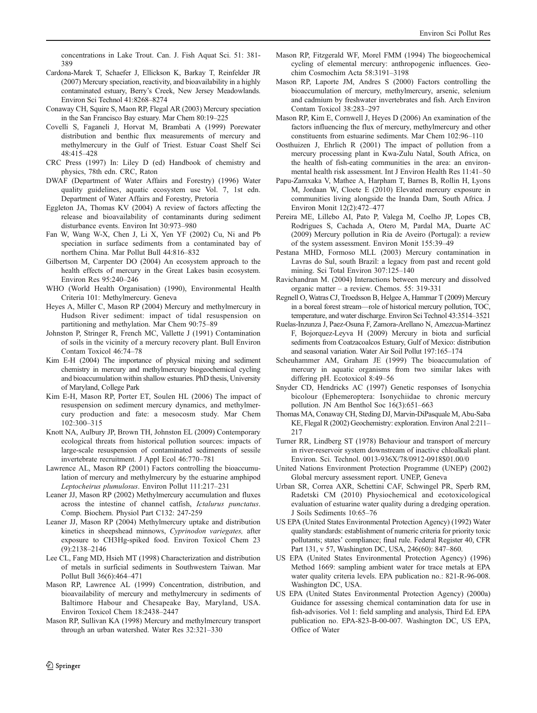<span id="page-9-0"></span>concentrations in Lake Trout. Can. J. Fish Aquat Sci. 51: 381- 389

- Cardona-Marek T, Schaefer J, Ellickson K, Barkay T, Reinfelder JR (2007) Mercury speciation, reactivity, and bioavailability in a highly contaminated estuary, Berry's Creek, New Jersey Meadowlands. Environ Sci Technol 41:8268–8274
- Conaway CH, Squire S, Maon RP, Flegal AR (2003) Mercury speciation in the San Francisco Bay estuary. Mar Chem 80:19–225
- Covelli S, Faganeli J, Horvat M, Brambati A (1999) Porewater distribution and benthic flux measurements of mercury and methylmercury in the Gulf of Triest. Estuar Coast Shelf Sci 48:415–428
- CRC Press (1997) In: Liley D (ed) Handbook of chemistry and physics, 78th edn. CRC, Raton
- DWAF (Department of Water Affairs and Forestry) (1996) Water quality guidelines, aquatic ecosystem use Vol. 7, 1st edn. Department of Water Affairs and Forestry, Pretoria
- Eggleton JA, Thomas KV (2004) A review of factors affecting the release and bioavailability of contaminants during sediment disturbance events. Environ Int 30:973–980
- Fan W, Wang W-X, Chen J, Li X, Yen YF (2002) Cu, Ni and Pb speciation in surface sediments from a contaminated bay of northern China. Mar Pollut Bull 44:816–832
- Gilbertson M, Carpenter DO (2004) An ecosystem approach to the health effects of mercury in the Great Lakes basin ecosystem. Environ Res 95:240–246
- WHO (World Health Organisation) (1990), Environmental Health Criteria 101: Methylmercury. Geneva
- Heyes A, Miller C, Mason RP (2004) Mercury and methylmercury in Hudson River sediment: impact of tidal resuspension on partitioning and methylation. Mar Chem 90:75–89
- Johnston P, Stringer R, French MC, Vallette J (1991) Contamination of soils in the vicinity of a mercury recovery plant. Bull Environ Contam Toxicol 46:74–78
- Kim E-H (2004) The importance of physical mixing and sediment chemistry in mercury and methylmercury biogeochemical cycling and bioaccumulation within shallow estuaries. PhD thesis, University of Maryland, College Park
- Kim E-H, Mason RP, Porter ET, Soulen HL (2006) The impact of resuspension on sediment mercury dynamics, and methylmercury production and fate: a mesocosm study. Mar Chem 102:300–315
- Knott NA, Aulbury JP, Brown TH, Johnston EL (2009) Contemporary ecological threats from historical pollution sources: impacts of large-scale resuspension of contaminated sediments of sessile invertebrate recruitment. J Appl Ecol 46:770–781
- Lawrence AL, Mason RP (2001) Factors controlling the bioaccumulation of mercury and methylmercury by the estuarine amphipod Leptocheirus plumulosus. Environ Pollut 111:217–231
- Leaner JJ, Mason RP (2002) Methylmercury accumulation and fluxes across the intestine of channel catfish, Ictalurus punctatus. Comp. Biochem. Physiol Part C132: 247-259
- Leaner JJ, Mason RP (2004) Methylmercury uptake and distribution kinetics in sheepshead minnows, Cyprinodon variegates, after exposure to CH3Hg-spiked food. Environ Toxicol Chem 23 (9):2138–2146
- Lee CL, Fang MD, Hsieh MT (1998) Characterization and distribution of metals in surficial sediments in Southwestern Taiwan. Mar Pollut Bull 36(6):464–471
- Mason RP, Lawrence AL (1999) Concentration, distribution, and bioavailability of mercury and methylmercury in sediments of Baltimore Habour and Chesapeake Bay, Maryland, USA. Environ Toxicol Chem 18:2438–2447
- Mason RP, Sullivan KA (1998) Mercury and methylmercury transport through an urban watershed. Water Res 32:321–330
- Mason RP, Fitzgerald WF, Morel FMM (1994) The biogeochemical cycling of elemental mercury: anthropogenic influences. Geochim Cosmochim Acta 58:3191–3198
- Mason RP, Laporte JM, Andres S (2000) Factors controlling the bioaccumulation of mercury, methylmercury, arsenic, selenium and cadmium by freshwater invertebrates and fish. Arch Environ Contam Toxicol 38:283–297
- Mason RP, Kim E, Cornwell J, Heyes D (2006) An examination of the factors influencing the flux of mercury, methylmercury and other constituents from estuarine sediments. Mar Chem 102:96–110
- Oosthuizen J, Ehrlich R (2001) The impact of pollution from a mercury processing plant in Kwa-Zulu Natal, South Africa, on the health of fish-eating communities in the area: an environmental health risk assessment. Int J Environ Health Res 11:41–50
- Papu-Zamxaka V, Mathee A, Harpham T, Barnes B, Rollin H, Lyons M, Jordaan W, Cloete E (2010) Elevated mercury exposure in communities living alongside the Inanda Dam, South Africa. J Environ Monit 12(2):472–477
- Pereira ME, Lillebo AI, Pato P, Valega M, Coelho JP, Lopes CB, Rodrigues S, Cachada A, Otero M, Pardal MA, Duarte AC (2009) Mercury pollution in Ria de Aveiro (Portugal): a review of the system assessment. Environ Monit 155:39–49
- Pestana MHD, Formoso MLL (2003) Mercury contamination in Lavras do Sul, south Brazil: a legacy from past and recent gold mining. Sci Total Environ 307:125–140
- Ravichandran M. (2004) Interactions between mercury and dissolved organic matter – a review. Chemos. 55: 319-331
- Regnell O, Watras CJ, Troedsson B, Helgee A, Hammar T (2009) Mercury in a boreal forest stream—role of historical mercury pollution, TOC, temperature, and water discharge. Environ Sci Technol 43:3514–3521
- Ruelas-Inzunza J, Paez-Osuna F, Zamora-Arellano N, Amezcua-Martinez F, Bojorquez-Leyva H (2009) Mercury in biota and surficial sediments from Coatzacoalcos Estuary, Gulf of Mexico: distribution and seasonal variation. Water Air Soil Pollut 197:165–174
- Scheuhammer AM, Graham JE (1999) The bioaccumulation of mercury in aquatic organisms from two similar lakes with differing pH. Ecotoxicol 8:49–56
- Snyder CD, Hendricks AC (1997) Genetic responses of Isonychia bicolour (Ephemeroptera: Isonychiidae to chronic mercury pollution. JN Am Benthol Soc 16(3):651–663
- Thomas MA, Conaway CH, Steding DJ, Marvin-DiPasquale M, Abu-Saba KE, Flegal R (2002) Geochemistry: exploration. Environ Anal 2:211– 217
- Turner RR, Lindberg ST (1978) Behaviour and transport of mercury in river-reservoir system downstream of inactive chloalkali plant. Environ. Sci. Technol. 0013-936X/78/0912-0918\$01.00/0
- United Nations Environment Protection Programme (UNEP) (2002) Global mercury assessment report. UNEP, Geneva
- Urban SR, Correa AXR, Schettini CAF, Schwingel PR, Sperb RM, Radetski CM (2010) Physiochemical and ecotoxicological evaluation of estuarine water quality during a dredging operation. J Soils Sediments 10:65–76
- US EPA (United States Environmental Protection Agency) (1992) Water quality standards: establishment of numeric criteria for priority toxic pollutants; states' compliance; final rule. Federal Register 40, CFR Part 131, v 57, Washington DC, USA, 246(60): 847–860.
- US EPA (United States Environmental Protection Agency) (1996) Method 1669: sampling ambient water for trace metals at EPA water quality criteria levels. EPA publication no.: 821-R-96-008. Washington DC, USA.
- US EPA (United States Environmental Protection Agency) (2000a) Guidance for assessing chemical contamination data for use in fish-advisories. Vol 1: field sampling and analysis, Third Ed. EPA publication no. EPA-823-B-00-007. Washington DC, US EPA, Office of Water